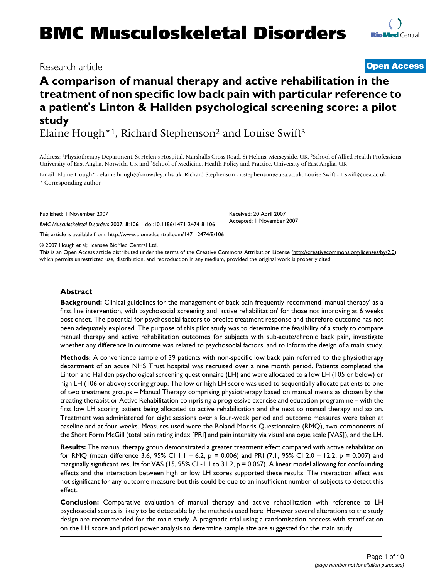## Research article **Open Access**

# **A comparison of manual therapy and active rehabilitation in the treatment of non specific low back pain with particular reference to a patient's Linton & Hallden psychological screening score: a pilot study**

Elaine Hough<sup>\*1</sup>, Richard Stephenson<sup>2</sup> and Louise Swift<sup>3</sup>

Address: 1Physiotherapy Department, St Helen's Hospital, Marshalls Cross Road, St Helens, Merseyside, UK, 2School of Allied Health Professions, University of East Anglia, Norwich, UK and 3School of Medicine, Health Policy and Practice, University of East Anglia, UK

Email: Elaine Hough\* - elaine.hough@knowsley.nhs.uk; Richard Stephenson - r.stephenson@uea.ac.uk; Louise Swift - L.swift@uea.ac.uk \* Corresponding author

Published: 1 November 2007

*BMC Musculoskeletal Disorders* 2007, **8**:106 doi:10.1186/1471-2474-8-106

This article is available from: http://www.biomedcentral.com/1471-2474/8/106

© 2007 Hough et al; licensee BioMed Central Ltd.

This is an Open Access article distributed under the terms of the Creative Commons Attribution License (http://creativecommons.org/licenses/by/2.0), which permits unrestricted use, distribution, and reproduction in any medium, provided the original work is properly cited.

Received: 20 April 2007 Accepted: 1 November 2007

#### **Abstract**

**Background:** Clinical guidelines for the management of back pain frequently recommend 'manual therapy' as a first line intervention, with psychosocial screening and 'active rehabilitation' for those not improving at 6 weeks post onset. The potential for psychosocial factors to predict treatment response and therefore outcome has not been adequately explored. The purpose of this pilot study was to determine the feasibility of a study to compare manual therapy and active rehabilitation outcomes for subjects with sub-acute/chronic back pain, investigate whether any difference in outcome was related to psychosocial factors, and to inform the design of a main study.

**Methods:** A convenience sample of 39 patients with non-specific low back pain referred to the physiotherapy department of an acute NHS Trust hospital was recruited over a nine month period. Patients completed the Linton and Hallden psychological screening questionnaire (LH) and were allocated to a low LH (105 or below) or high LH (106 or above) scoring group. The low or high LH score was used to sequentially allocate patients to one of two treatment groups – Manual Therapy comprising physiotherapy based on manual means as chosen by the treating therapist or Active Rehabilitation comprising a progressive exercise and education programme – with the first low LH scoring patient being allocated to active rehabilitation and the next to manual therapy and so on. Treatment was administered for eight sessions over a four-week period and outcome measures were taken at baseline and at four weeks. Measures used were the Roland Morris Questionnaire (RMQ), two components of the Short Form McGill (total pain rating index [PRI] and pain intensity via visual analogue scale [VAS]), and the LH.

**Results:** The manual therapy group demonstrated a greater treatment effect compared with active rehabilitation for RMQ (mean difference 3.6, 95% CI 1.1 – 6.2, p = 0.006) and PRI (7.1, 95% CI 2.0 – 12.2, p = 0.007) and marginally significant results for VAS (15, 95% CI-1.1 to 31.2,  $p = 0.067$ ). A linear model allowing for confounding effects and the interaction between high or low LH scores supported these results. The interaction effect was not significant for any outcome measure but this could be due to an insufficient number of subjects to detect this effect.

**Conclusion:** Comparative evaluation of manual therapy and active rehabilitation with reference to LH psychosocial scores is likely to be detectable by the methods used here. However several alterations to the study design are recommended for the main study. A pragmatic trial using a randomisation process with stratification on the LH score and priori power analysis to determine sample size are suggested for the main study.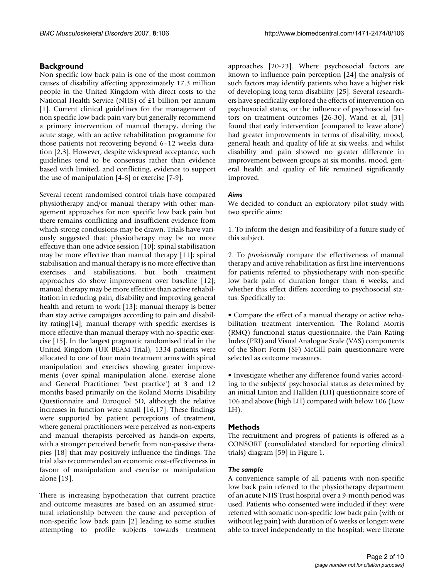#### **Background**

Non specific low back pain is one of the most common causes of disability affecting approximately 17.3 million people in the United Kingdom with direct costs to the National Health Service (NHS) of £1 billion per annum [1]. Current clinical guidelines for the management of non specific low back pain vary but generally recommend a primary intervention of manual therapy, during the acute stage, with an active rehabilitation programme for those patients not recovering beyond 6–12 weeks duration [2,3]. However, despite widespread acceptance, such guidelines tend to be consensus rather than evidence based with limited, and conflicting, evidence to support the use of manipulation [4-6] or exercise [7-9].

Several recent randomised control trials have compared physiotherapy and/or manual therapy with other management approaches for non specific low back pain but there remains conflicting and insufficient evidence from which strong conclusions may be drawn. Trials have variously suggested that: physiotherapy may be no more effective than one advice session [10]; spinal stabilisation may be more effective than manual therapy [11]; spinal stabilisation and manual therapy is no more effective than exercises and stabilisations, but both treatment approaches do show improvement over baseline [12]; manual therapy may be more effective than active rehabilitation in reducing pain, disability and improving general health and return to work [13]; manual therapy is better than stay active campaigns according to pain and disability rating[14]; manual therapy with specific exercises is more effective than manual therapy with no-specific exercise [15]. In the largest pragmatic randomised trial in the United Kingdom (UK BEAM Trial), 1334 patients were allocated to one of four main treatment arms with spinal manipulation and exercises showing greater improvements (over spinal manipulation alone, exercise alone and General Practitioner 'best practice') at 3 and 12 months based primarily on the Roland Morris Disability Questionnaire and Euroquol 5D, although the relative increases in function were small [16,17]. These findings were supported by patient perceptions of treatment, where general practitioners were perceived as non-experts and manual therapists perceived as hands-on experts, with a stronger perceived benefit from non-passive therapies [18] that may positively influence the findings. The trial also recommended an economic cost-effectiveness in favour of manipulation and exercise or manipulation alone [19].

There is increasing hypothecation that current practice and outcome measures are based on an assumed structural relationship between the cause and perception of non-specific low back pain [2] leading to some studies attempting to profile subjects towards treatment approaches [20-23]. Where psychosocial factors are known to influence pain perception [24] the analysis of such factors may identify patients who have a higher risk of developing long term disability [25]. Several researchers have specifically explored the effects of intervention on psychosocial status, or the influence of psychosocial factors on treatment outcomes [26-30]. Wand et al, [31] found that early intervention (compared to leave alone) had greater improvements in terms of disability, mood, general heath and quality of life at six weeks, and whilst disability and pain showed no greater difference in improvement between groups at six months, mood, general health and quality of life remained significantly improved.

#### *Aims*

We decided to conduct an exploratory pilot study with two specific aims:

1. To inform the design and feasibility of a future study of this subject.

2. To *provisionally* compare the effectiveness of manual therapy and active rehabilitation as first line interventions for patients referred to physiotherapy with non-specific low back pain of duration longer than 6 weeks, and whether this effect differs according to psychosocial status. Specifically to:

• Compare the effect of a manual therapy or active rehabilitation treatment intervention. The Roland Morris (RMQ) functional status questionnaire, the Pain Rating Index (PRI) and Visual Analogue Scale (VAS) components of the Short Form (SF) McGill pain questionnaire were selected as outcome measures.

• Investigate whether any difference found varies according to the subjects' psychosocial status as determined by an initial Linton and Hallden (LH) questionnaire score of 106 and above (high LH) compared with below 106 (Low LH).

#### **Methods**

The recruitment and progress of patients is offered as a CONSORT (consolidated standard for reporting clinical trials) diagram [59] in Figure 1.

#### *The sample*

A convenience sample of all patients with non-specific low back pain referred to the physiotherapy department of an acute NHS Trust hospital over a 9-month period was used. Patients who consented were included if they: were referred with somatic non-specific low back pain (with or without leg pain) with duration of 6 weeks or longer; were able to travel independently to the hospital; were literate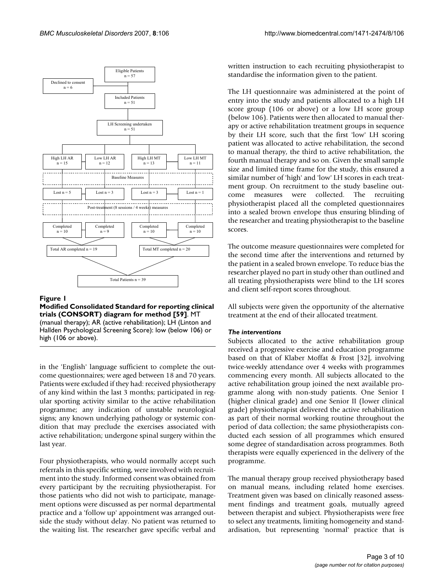

#### Figure 1

**Modified Consolidated Standard for reporting clinical trials (CONSORT) diagram for method [59]**. MT (manual therapy); AR (active rehabilitation); LH (Linton and Hallden Psychological Screening Score): low (below 106) or high (106 or above).

in the 'English' language sufficient to complete the outcome questionnaires; were aged between 18 and 70 years. Patients were excluded if they had: received physiotherapy of any kind within the last 3 months; participated in regular sporting activity similar to the active rehabilitation programme; any indication of unstable neurological signs; any known underlying pathology or systemic condition that may preclude the exercises associated with active rehabilitation; undergone spinal surgery within the last year.

Four physiotherapists, who would normally accept such referrals in this specific setting, were involved with recruitment into the study. Informed consent was obtained from every participant by the recruiting physiotherapist. For those patients who did not wish to participate, management options were discussed as per normal departmental practice and a 'follow up' appointment was arranged outside the study without delay. No patient was returned to the waiting list. The researcher gave specific verbal and written instruction to each recruiting physiotherapist to standardise the information given to the patient.

The LH questionnaire was administered at the point of entry into the study and patients allocated to a high LH score group (106 or above) or a low LH score group (below 106). Patients were then allocated to manual therapy or active rehabilitation treatment groups in sequence by their LH score, such that the first 'low' LH scoring patient was allocated to active rehabilitation, the second to manual therapy, the third to active rehabilitation, the fourth manual therapy and so on. Given the small sample size and limited time frame for the study, this ensured a similar number of 'high' and 'low' LH scores in each treatment group. On recruitment to the study baseline outcome measures were collected. The recruiting physiotherapist placed all the completed questionnaires into a sealed brown envelope thus ensuring blinding of the researcher and treating physiotherapist to the baseline scores.

The outcome measure questionnaires were completed for the second time after the interventions and returned by the patient in a sealed brown envelope. To reduce bias the researcher played no part in study other than outlined and all treating physiotherapists were blind to the LH scores and client self-report scores throughout.

All subjects were given the opportunity of the alternative treatment at the end of their allocated treatment.

#### *The interventions*

Subjects allocated to the active rehabilitation group received a progressive exercise and education programme based on that of Klaber Moffat & Frost [32], involving twice-weekly attendance over 4 weeks with programmes commencing every month. All subjects allocated to the active rehabilitation group joined the next available programme along with non-study patients. One Senior I (higher clinical grade) and one Senior II (lower clinical grade) physiotherapist delivered the active rehabilitation as part of their normal working routine throughout the period of data collection; the same physiotherapists conducted each session of all programmes which ensured some degree of standardisation across programmes. Both therapists were equally experienced in the delivery of the programme.

The manual therapy group received physiotherapy based on manual means, including related home exercises. Treatment given was based on clinically reasoned assessment findings and treatment goals, mutually agreed between therapist and subject. Physiotherapists were free to select any treatments, limiting homogeneity and standardisation, but representing 'normal' practice that is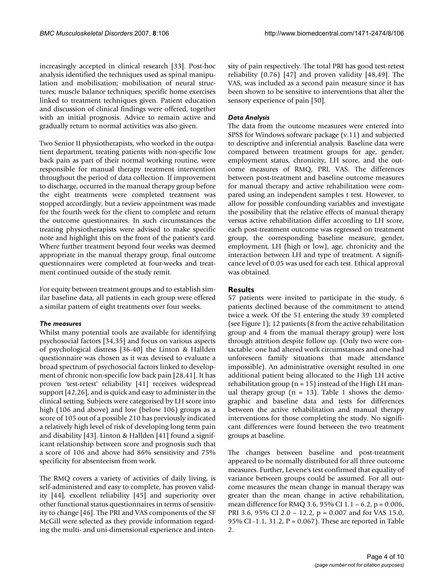increasingly accepted in clinical research [33]. Post-hoc analysis identified the techniques used as spinal manipulation and mobilisation; mobilisation of neural structures; muscle balance techniques; specific home exercises linked to treatment techniques given. Patient education and discussion of clinical findings were offered, together with an initial prognosis. Advice to remain active and gradually return to normal activities was also given.

Two Senior II physiotherapists, who worked in the outpatient department, treating patients with non-specific low back pain as part of their normal working routine, were responsible for manual therapy treatment intervention throughout the period of data collection. If improvement to discharge, occurred in the manual therapy group before the eight treatments were completed treatment was stopped accordingly, but a review appointment was made for the fourth week for the client to complete and return the outcome questionnaires. In such circumstances the treating physiotherapists were advised to make specific note and highlight this on the front of the patient's card. Where further treatment beyond four weeks was deemed appropriate in the manual therapy group, final outcome questionnaires were completed at four-weeks and treatment continued outside of the study remit.

For equity between treatment groups and to establish similar baseline data, all patients in each group were offered a similar pattern of eight treatments over four weeks.

#### *The measures*

Whilst many potential tools are available for identifying psychosocial factors [34,35] and focus on various aspects of psychological distress [36-40] the Linton & Hallden questionnaire was chosen as it was devised to evaluate a broad spectrum of psychosocial factors linked to development of chronic non-specific low back pain [28,41]. It has proven 'test-retest' reliability [41] receives widespread support [42,26], and is quick and easy to administer in the clinical setting. Subjects were categorised by LH score into high (106 and above) and low (below 106) groups as a score of 105 out of a possible 210 has previously indicated a relatively high level of risk of developing long term pain and disability [43]. Linton & Hallden [41] found a significant relationship between score and prognosis such that a score of 106 and above had 86% sensitivity and 75% specificity for absenteeism from work.

The RMQ covers a variety of activities of daily living, is self-administered and easy to complete, has proven validity [44], excellent reliability [45] and superiority over other functional status questionnaires in terms of sensitivity to change [46]. The PRI and VAS components of the SF McGill were selected as they provide information regarding the multi- and uni-dimensional experience and intensity of pain respectively. The total PRI has good test-retest reliability (0.76) [47] and proven validity [48,49]. The VAS, was included as a second pain measure since it has been shown to be sensitive to interventions that alter the sensory experience of pain [50].

#### *Data Analysis*

The data from the outcome measures were entered into SPSS for Windows software package (v.11) and subjected to descriptive and inferential analysis. Baseline data were compared between treatment groups for age, gender, employment status, chronicity, LH score, and the outcome measures of RMQ, PRI, VAS. The differences between post-treatment and baseline outcome measures for manual therapy and active rehabilitation were compared using an independent samples t test. However, to allow for possible confounding variables and investigate the possibility that the relative effects of manual therapy versus active rehabilitation differ according to LH score, each post-treatment outcome was regressed on treatment group, the corresponding baseline measure, gender, employment, LH (high or low), age, chronicity and the interaction between LH and type of treatment. A significance level of 0.05 was used for each test. Ethical approval was obtained.

#### **Results**

57 patients were invited to participate in the study, 6 patients declined because of the commitment to attend twice a week. Of the 51 entering the study 39 completed (see Figure 1); 12 patients (8 from the active rehabilitation group and 4 from the manual therapy group) were lost through attrition despite follow up. (Only two were contactable: one had altered work circumstances and one had unforeseen family situations that made attendance impossible). An administrative oversight resulted in one additional patient being allocated to the High LH active rehabilitation group ( $n = 15$ ) instead of the High LH manual therapy group ( $n = 13$ ). Table 1 shows the demographic and baseline data and tests for differences between the active rehabilitation and manual therapy interventions for those completing the study. No significant differences were found between the two treatment groups at baseline.

The changes between baseline and post-treatment appeared to be normally distributed for all three outcome measures. Further, Levene's test confirmed that equality of variance between groups could be assumed. For all outcome measures the mean change in manual therapy was greater than the mean change in active rehabilitation, mean difference for RMQ 3.6, 95% CI 1.1 – 6.2, p = 0.006, PRI 3.6, 95% CI 2.0 – 12.2, p = 0.007 and for VAS 15.0, 95% CI -1.1, 31.2, P = 0.067). These are reported in Table 2.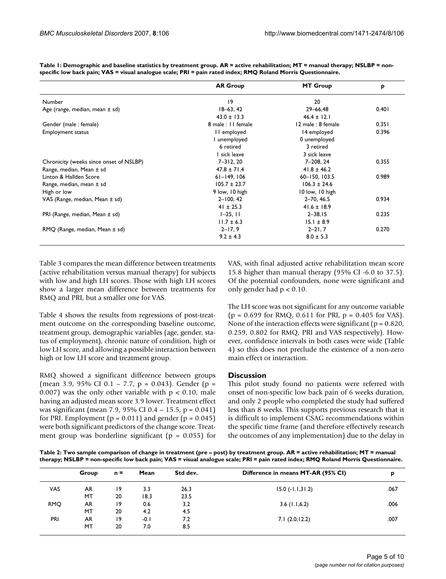|                                         | <b>AR Group</b>   | <b>MT Group</b>   | p     |
|-----------------------------------------|-------------------|-------------------|-------|
| Number                                  | 9                 | 20                |       |
| Age (range, median, mean $\pm$ sd)      | $18 - 63, 42$     | 29-66.48          | 0.401 |
|                                         | $43.0 \pm 13.3$   | $46.4 \pm 12.1$   |       |
| Gender (male: female)                   | 8 male: 11 female | 12 male: 8 female | 0.351 |
| <b>Employment status</b>                | II employed       | 14 employed       | 0.396 |
|                                         | I unemployed      | 0 unemployed      |       |
|                                         | 6 retired         | 3 retired         |       |
|                                         | I sick leave      | 3 sick leave      |       |
| Chronicity (weeks since onset of NSLBP) | $7 - 312, 20$     | $7 - 208, 24$     | 0.355 |
| Range, median, Mean ± sd                | $47.8 \pm 71.4$   | $41.8 \pm 46.2$   |       |
| Linton & Hallden Score                  | $61 - 149.106$    | 60-150, 103.5     | 0.989 |
| Range, median, mean ± sd                | $105.7 \pm 23.7$  | $106.3 \pm 24.6$  |       |
| High or low                             | 9 low, 10 high    | 10 low, 10 high   |       |
| VAS (Range, median, Mean ± sd)          | $2 - 100, 42$     | $2 - 70.46.5$     | 0.934 |
|                                         | $41 \pm 25.3$     | $41.6 \pm 18.9$   |       |
| PRI (Range, median, Mean ± sd)          | $1-25, 11$        | $2 - 38, 15$      | 0.235 |
|                                         | $11.7 \pm 6.3$    | $15.1 \pm 8.9$    |       |
| RMQ (Range, median, Mean ± sd)          | $2 - 17, 9$       | $2 - 21, 7$       | 0.270 |
|                                         | $9.2 \pm 4.3$     | $8.0 \pm 5.3$     |       |

**Table 1: Demographic and baseline statistics by treatment group. AR = active rehabilitation; MT = manual therapy; NSLBP = nonspecific low back pain; VAS = visual analogue scale; PRI = pain rated index; RMQ Roland Morris Questionnaire.**

Table 3 compares the mean difference between treatments (active rehabilitation versus manual therapy) for subjects with low and high LH scores. Those with high LH scores show a larger mean difference between treatments for RMQ and PRI, but a smaller one for VAS.

Table 4 shows the results from regressions of post-treatment outcome on the corresponding baseline outcome, treatment group, demographic variables (age, gender, status of employment), chronic nature of condition, high or low LH score, and allowing a possible interaction between high or low LH score and treatment group.

RMQ showed a significant difference between groups (mean 3.9, 95% CI 0.1 – 7.7, p = 0.043). Gender (p = 0.007) was the only other variable with  $p < 0.10$ , male having an adjusted mean score 3.9 lower. Treatment effect was significant (mean 7.9, 95% CI 0.4 – 15.5, p = 0.041) for PRI. Employment ( $p = 0.011$ ) and gender ( $p = 0.045$ ) were both significant predictors of the change score. Treatment group was borderline significant ( $p = 0.055$ ) for VAS, with final adjusted active rehabilitation mean score 15.8 higher than manual therapy (95% CI -6.0 to 37.5). Of the potential confounders, none were significant and only gender had p < 0.10.

The LH score was not significant for any outcome variable  $(p = 0.699$  for RMQ, 0.611 for PRI,  $p = 0.405$  for VAS). None of the interaction effects were significant ( $p = 0.820$ , 0.259, 0.802 for RMQ, PRI and VAS respectively). However, confidence intervals in both cases were wide (Table 4) so this does not preclude the existence of a non-zero main effect or interaction.

### **Discussion**

This pilot study found no patients were referred with onset of non-specific low back pain of 6 weeks duration, and only 2 people who completed the study had suffered less than 8 weeks. This supports previous research that it is difficult to implement CSAG recommendations within the specific time frame (and therefore effectively research the outcomes of any implementation) due to the delay in

**Table 2: Two sample comparison of change in treatment (pre – post) by treatment group. AR = active rehabilitation; MT = manual therapy; NSLBP = non-specific low back pain; VAS = visual analogue scale; PRI = pain rated index; RMQ Roland Morris Questionnaire.**

|            | Group | $n =$ | Mean   | Std dev. | Difference in means MT-AR (95% CI) | D    |
|------------|-------|-------|--------|----------|------------------------------------|------|
| <b>VAS</b> | AR    | 19    | 3.3    | 26.3     | $15.0$ (-1.1,31.2)                 | .067 |
|            | MT    | 20    | 18.3   | 23.5     |                                    |      |
| <b>RMQ</b> | AR    | 19    | 0.6    | 3.2      | $3.6$ (1.1,6.2)                    | .006 |
|            | MT    | 20    | 4.2    | 4.5      |                                    |      |
| PRI        | AR    | 19    | $-0.1$ | 7.2      | 7.1(2.0, 12.2)                     | .007 |
|            | МT    | 20    | 7.0    | 8.5      |                                    |      |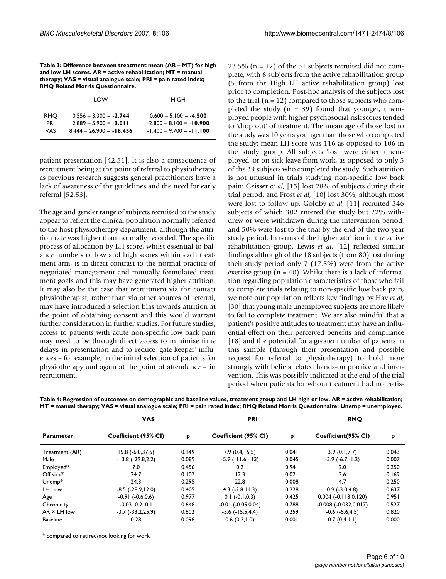**Table 3: Difference between treatment mean (AR – MT) for high and low LH scores. AR = active rehabilitation; MT = manual therapy; VAS = visual analogue scale; PRI = pain rated index; RMQ Roland Morris Questionnaire.**

|            | TOW                        | HIGH                       |
|------------|----------------------------|----------------------------|
| <b>RMO</b> | $0.556 - 3.300 = -2.744$   | $0.600 - 5.100 = -4.500$   |
| <b>PRI</b> | $2.889 - 5.900 = -3.011$   | $-2.800 - 8.100 = -10.900$ |
| VAS        | $8.444 - 26.900 = -18.456$ | $-1.400 - 9.700 = -11.100$ |

patient presentation [42,51]. It is also a consequence of recruitment being at the point of referral to physiotherapy as previous research suggests general practitioners have a lack of awareness of the guidelines and the need for early referral [52,53].

The age and gender range of subjects recruited to the study appear to reflect the clinical population normally referred to the host physiotherapy department, although the attrition rate was higher than normally recorded. The specific process of allocation by LH score, whilst essential to balance numbers of low and high scores within each treatment arm, is in direct contrast to the normal practice of negotiated management and mutually formulated treatment goals and this may have generated higher attrition. It may also be the case that recruitment via the contact physiotherapist, rather than via other sources of referral, may have introduced a selection bias towards attrition at the point of obtaining consent and this would warrant further consideration in further studies. For future studies, access to patients with acute non-specific low back pain may need to be through direct access to minimise time delays in presentation and to reduce 'gate-keeper' influences – for example, in the initial selection of patients for physiotherapy and again at the point of attendance – in recruitment.

 $23.5\%$  (n = 12) of the 51 subjects recruited did not complete, with 8 subjects from the active rehabilitation group (5 from the High LH active rehabilitation group) lost prior to completion. Post-hoc analysis of the subjects lost to the trial  $(n = 12)$  compared to those subjects who completed the study  $(n = 39)$  found that younger, unemployed people with higher psychosocial risk scores tended to 'drop out' of treatment. The mean age of those lost to the study was 10 years younger than those who completed the study; mean LH score was 116 as opposed to 106 in the 'study' group. All subjects 'lost' were either 'unemployed' or on sick leave from work, as opposed to only 5 of the 39 subjects who completed the study. Such attrition is not unusual in trials studying non-specific low back pain: Geisser *et al*, [15] lost 28% of subjects during their trial period, and Frost *et al*, [10] lost 30%, although most were lost to follow up. Goldby *et al*, [11] recruited 346 subjects of which 302 entered the study but 22% withdrew or were withdrawn during the intervention period, and 50% were lost to the trial by the end of the two-year study period. In terms of the higher attrition in the active rehabilitation group, Lewis *et al*, [12] reflected similar findings although of the 18 subjects (from 80) lost during their study period only 7 (17.5%) were from the active exercise group ( $n = 40$ ). Whilst there is a lack of information regarding population characteristics of those who fail to complete trials relating to non-specific low back pain, we note our population reflects key findings by Hay *et al*, [30] that young male unemployed subjects are more likely to fail to complete treatment. We are also mindful that a patient's positive attitudes to treatment may have an influential effect on their perceived benefits and compliance [18] and the potential for a greater number of patients in this sample (through their presentation and possible request for referral to physiotherapy) to hold more strongly with beliefs related hands-on practice and intervention. This was possibly indicated at the end of the trial period when patients for whom treatment had not satis-

| Table 4: Regression of outcomes on demographic and baseline values, treatment group and LH high or low. AR = active rehabilitation; |
|-------------------------------------------------------------------------------------------------------------------------------------|
| MT = manual therapy; VAS = visual analogue scale; PRI = pain rated index; RMQ Roland Morris Questionnaire; Unemp = unemployed.      |

| <b>Parameter</b> | <b>VAS</b>             |       | <b>PRI</b>              |       | <b>RMQ</b>                 |       |
|------------------|------------------------|-------|-------------------------|-------|----------------------------|-------|
|                  | Coefficient (95% CI)   | p     | Coefficient (95% CI)    | p     | Coefficient (95% CI)       | P     |
| Treatment (AR)   | $15.8(-6.0,37.5)$      | 0.149 | 7.9(0.4, 15.5)          | 0.041 | 3.9(0.1,7.7)               | 0.043 |
| Male             | $-13.8(-29.8,2.2)$     | 0.089 | $-5.9$ ( $-11.6,-13$ )  | 0.045 | $-3.9(-6.7,-1.2)$          | 0.007 |
| Employed*        | 7.0                    | 0.456 | 0.2                     | 0.941 | 2.0                        | 0.250 |
| Off sick*        | 24.7                   | 0.107 | 12.3                    | 0.021 | 3.6                        | 0.169 |
| $Unemp*$         | 24.3                   | 0.295 | 22.8                    | 0.008 | 4.7                        | 0.250 |
| LH Low           | $-8.5$ $(-28.9, 12.0)$ | 0.405 | $4.3$ ( $-2.8$ , I I.3) | 0.228 | $0.9(-3.0, 4.8)$           | 0.637 |
| Age              | $-0.91(-0.6,0.6)$      | 0.977 | $0.1(-0.1,0.3)$         | 0.425 | $0.004 (-0.113, 0.120)$    | 0.951 |
| Chronicity       | $-0.03 - 0.2$ , 0.1    | 0.648 | $-0.01$ $(-0.05, 0.04)$ | 0.788 | $-0.008$ $(-0.032, 0.017)$ | 0.527 |
| AR × LH low      | $-3.7$ $(-33.2,25.9)$  | 0.802 | $-5.6$ ( $-15.5,4.4$ )  | 0.259 | $-0.6$ $(-5.6, 4.5)$       | 0.820 |
| <b>Baseline</b>  | 0.28                   | 0.098 | 0.6(0.3, 1.0)           | 0.001 | 0.7(0.4, 1.1)              | 0.000 |

\* compared to retired/not looking for work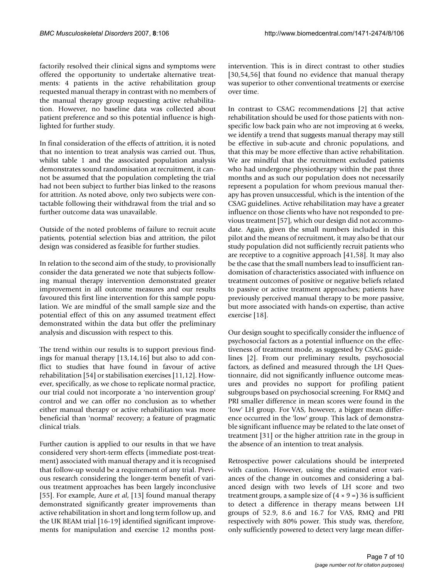factorily resolved their clinical signs and symptoms were offered the opportunity to undertake alternative treatments: 4 patients in the active rehabilitation group requested manual therapy in contrast with no members of the manual therapy group requesting active rehabilitation. However, no baseline data was collected about patient preference and so this potential influence is highlighted for further study.

In final consideration of the effects of attrition, it is noted that no intention to treat analysis was carried out. Thus, whilst table 1 and the associated population analysis demonstrates sound randomisation at recruitment, it cannot be assumed that the population completing the trial had not been subject to further bias linked to the reasons for attrition. As noted above, only two subjects were contactable following their withdrawal from the trial and so further outcome data was unavailable.

Outside of the noted problems of failure to recruit acute patients, potential selection bias and attrition, the pilot design was considered as feasible for further studies.

In relation to the second aim of the study, to provisionally consider the data generated we note that subjects following manual therapy intervention demonstrated greater improvement in all outcome measures and our results favoured this first line intervention for this sample population. We are mindful of the small sample size and the potential effect of this on any assumed treatment effect demonstrated within the data but offer the preliminary analysis and discussion with respect to this.

The trend within our results is to support previous findings for manual therapy [13,14,16] but also to add conflict to studies that have found in favour of active rehabilitation [54] or stabilisation exercises [11,12]. However, specifically, as we chose to replicate normal practice, our trial could not incorporate a 'no intervention group' control and we can offer no conclusion as to whether either manual therapy or active rehabilitation was more beneficial than 'normal' recovery; a feature of pragmatic clinical trials.

Further caution is applied to our results in that we have considered very short-term effects (immediate post-treatment) associated with manual therapy and it is recognised that follow-up would be a requirement of any trial. Previous research considering the longer-term benefit of various treatment approaches has been largely inconclusive [55]. For example, Aure *et al*, [13] found manual therapy demonstrated significantly greater improvements than active rehabilitation in short and long term follow up, and the UK BEAM trial [16-19] identified significant improvements for manipulation and exercise 12 months postintervention. This is in direct contrast to other studies [30,54,56] that found no evidence that manual therapy was superior to other conventional treatments or exercise over time.

In contrast to CSAG recommendations [2] that active rehabilitation should be used for those patients with nonspecific low back pain who are not improving at 6 weeks, we identify a trend that suggests manual therapy may still be effective in sub-acute and chronic populations, and that this may be more effective than active rehabilitation. We are mindful that the recruitment excluded patients who had undergone physiotherapy within the past three months and as such our population does not necessarily represent a population for whom previous manual therapy has proven unsuccessful, which is the intention of the CSAG guidelines. Active rehabilitation may have a greater influence on those clients who have not responded to previous treatment [57], which our design did not accommodate. Again, given the small numbers included in this pilot and the means of recruitment, it may also be that our study population did not sufficiently recruit patients who are receptive to a cognitive approach [41,58]. It may also be the case that the small numbers lead to insufficient randomisation of characteristics associated with influence on treatment outcomes of positive or negative beliefs related to passive or active treatment approaches; patients have previously perceived manual therapy to be more passive, but more associated with hands-on expertise, than active exercise [18].

Our design sought to specifically consider the influence of psychosocial factors as a potential influence on the effectiveness of treatment mode, as suggested by CSAG guidelines [2]. From our preliminary results, psychosocial factors, as defined and measured through the LH Questionnaire, did not significantly influence outcome measures and provides no support for profiling patient subgroups based on psychosocial screening. For RMQ and PRI smaller difference in mean scores were found in the 'low' LH group. For VAS, however, a bigger mean difference occurred in the 'low' group. This lack of demonstrable significant influence may be related to the late onset of treatment [31] or the higher attrition rate in the group in the absence of an intention to treat analysis.

Retrospective power calculations should be interpreted with caution. However, using the estimated error variances of the change in outcomes and considering a balanced design with two levels of LH score and two treatment groups, a sample size of  $(4 \times 9 = 36)$  is sufficient to detect a difference in therapy means between LH groups of 52.9, 8.6 and 16.7 for VAS, RMQ and PRI respectively with 80% power. This study was, therefore, only sufficiently powered to detect very large mean differ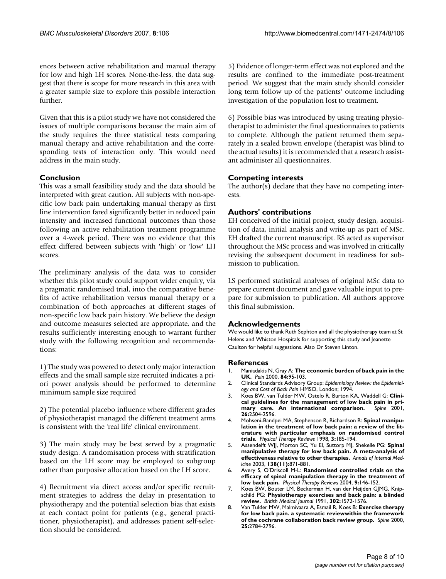ences between active rehabilitation and manual therapy for low and high LH scores. None-the-less, the data suggest that there is scope for more research in this area with a greater sample size to explore this possible interaction further.

Given that this is a pilot study we have not considered the issues of multiple comparisons because the main aim of the study requires the three statistical tests comparing manual therapy and active rehabilitation and the corresponding tests of interaction only. This would need address in the main study.

#### **Conclusion**

This was a small feasibility study and the data should be interpreted with great caution. All subjects with non-specific low back pain undertaking manual therapy as first line intervention fared significantly better in reduced pain intensity and increased functional outcomes than those following an active rehabilitation treatment programme over a 4-week period. There was no evidence that this effect differed between subjects with 'high' or 'low' LH scores.

The preliminary analysis of the data was to consider whether this pilot study could support wider enquiry, via a pragmatic randomised trial, into the comparative benefits of active rehabilitation versus manual therapy or a combination of both approaches at different stages of non-specific low back pain history. We believe the design and outcome measures selected are appropriate, and the results sufficiently interesting enough to warrant further study with the following recognition and recommendations:

1) The study was powered to detect only major interaction effects and the small sample size recruited indicates a priori power analysis should be performed to determine minimum sample size required

2) The potential placebo influence where different grades of physiotherapist managed the different treatment arms is consistent with the 'real life' clinical environment.

3) The main study may be best served by a pragmatic study design. A randomisation process with stratification based on the LH score may be employed to subgroup rather than purposive allocation based on the LH score.

4) Recruitment via direct access and/or specific recruitment strategies to address the delay in presentation to physiotherapy and the potential selection bias that exists at each contact point for patients (e.g., general practitioner, physiotherapist), and addresses patient self-selection should be considered.

5) Evidence of longer-term effect was not explored and the results are confined to the immediate post-treatment period. We suggest that the main study should consider long term follow up of the patients' outcome including investigation of the population lost to treatment.

6) Possible bias was introduced by using treating physiotherapist to administer the final questionnaires to patients to complete. Although the patient returned them separately in a sealed brown envelope (therapist was blind to the actual results) it is recommended that a research assistant administer all questionnaires.

### **Competing interests**

The author(s) declare that they have no competing interests.

#### **Authors' contributions**

EH conceived of the initial project, study design, acquisition of data, initial analysis and write-up as part of MSc. EH drafted the current manuscript. RS acted as supervisor throughout the MSc process and was involved in critically revising the subsequent document in readiness for submission to publication.

LS performed statistical analyses of original MSc data to prepare current document and gave valuable input to prepare for submission to publication. All authors approve this final submission.

### **Acknowledgements**

We would like to thank Ruth Sephton and all the physiotherapy team at St Helens and Whiston Hospitals for supporting this study and Jeanette Caulton for helpful suggestions. Also Dr Steven Linton.

#### **References**

- 1. Maniadakis N, Gray A: **The economic burden of back pain in the UK.** *Pain* 2000, **84:**95-103.
- 2. Clinical Standards Advisory Group: *Epidemiology Review: the Epidemiology and Cost of Back Pain* HMSO, London; 1994.
- 3. Koes BW, van Tulder MW, Ostelo R, Burton KA, Waddell G: **Clinical guidelines for the management of low back pain in pri**mary care. An international comparison. **26:**2504-2596.
- 4. Mohseni-Bandpei MA, Stephenson R, Richardson R: **Spinal manipulation in the treatment of low back pain: a review of the literature with particular emphasis on randomised control trials.** *Physical Therapy Reviews* 1998, **3:**185-194.
- 5. Assendelft WJJ, Morton SC, Yu EI, Suttorp MJ, Shekelle PG: **Spinal manipulative therapy for low back pain. A meta-analysis of effectiveness relative to other therapies.** *Annals of Internal Medicine* 2003, **138(11):**871-881.
- 6. Avery S, O'Driscoll M-L: **Randomised controlled trials on the efficacy of spinal manipulation therapy in the treatment of low back pain.** *Physical Therapy Reviews* 2004, **9:**146-152.
- 7. Koes BW, Bouter LM, Beckerman H, van der Heijden GJMG, Knipschild PG: **Physiotherapy exercises and back pain: a blinded review.** *British Medical Journal* 1991, **302:**1572-1576.
- 8. Van Tulder MW, Malmivaara A, Esmail R, Koes B: **Exercise therapy for low back pain. a systematic reviewwithin the framework of the cochrane collaboration back review group.** *Spine* 2000, **25:**2784-2796.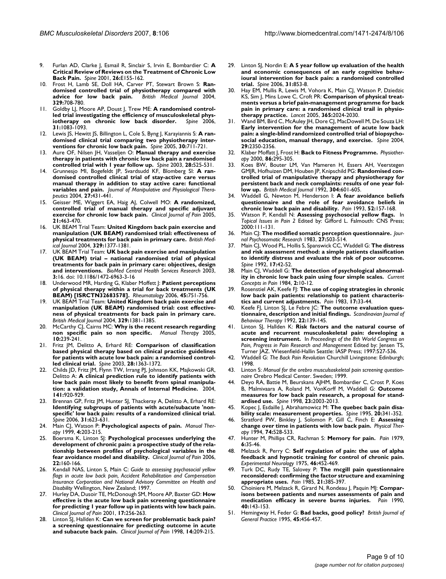- 9. Furlan AD, Clarke J, Esmail R, Sinclair S, Irvin E, Bombardier C: A **Critical Review of Reviews on the Treatment of Chronic Low Back Pain.** *Spine* 2001, **26:**E155-162.
- 10. Frost H, Lamb SE, Doll HA, Carver PT, Stewart Brown S: **Randomised controlled trial of physiotherapy compared with advice for low back pain.** *British Medical Journal* 2004, **329:**708-780.
- 11. Goldby LJ, Moore AP, Doust J, Trew ME: **A randomised control**led trial investigating the efficiency of musculoskeletal phys-<br>iotherapy on chronic low back disorder. Spine 2006, iotherapy on chronic low back disorder. **31:**1083-1093.
- 12. Lewis JS, Hewitt JS, Billington L, Cole S, Byng J, Karayiannis S: **A randomised clinical trial comparing two physiotherapy interventions for chronic low back pain.** *Spine* 2005, **30:**711-721.
- 13. Aure OF, Nilsen JH, Vasseljen O: **Manual therapy and exercise therapy in patients with chronic low back pain a randomised controlled trial with 1 year follow up.** *Spine* 2003, **28:**525-531.
- 14. Grunnesjo MI, Bogefeldt JP, Svardsudd KF, Blomberg SI: **A randomised controlled clinical trial of stay-active care versus manual therapy in addition to stay active care: functional variables and pain.** *Journal of Manipulative and Physiological Therapeutics* 2004, **27:**431-441.
- 15. Geisser ME, Wiggert EA, Haig AJ, Colwell MO: **A randomized, controlled trial of manual therapy and specific adjuvant exercise for chronic low back pain.** *Clinical Journal of Pain* 2005, **21:**463-470.
- 16. UK BEAM Trial Team: **United Kingdom back pain exercise and manipulation (UK BEAM) randomised trial: effectiveness of physical treatments for back pain in primary care.** *British Medical Journal* 2004, **329:**1377-1381.
- 17. UK BEAM Trial Team: **UK back pain exercise and manipulation (UK BEAM) trial – national randomised trial of physical treatments for back pain in primary care: objectives, design and interventions.** *BioMed Central Health Services Research* 2003, **3:**16. doi: 10.1186/1472-6963-3-16
- 18. Underwood MR, Harding G, Klaber Moffett J: **Patient perceptions of physical therapy within a trial for back treatments (UK BEAM) [ISRCTN32683578].** *Rheumatology* 2006, **45:**751-756.
- 19. UK BEAM Trial Team: **United Kingdom back pain exercise and manipulation (UK BEAM) randomised trial: cost effectiveness of physical treatments for back pain in primary care.** *British Medical Journal* 2004, **329:**1381-1385.
- 20. McCarthy CJ, Cairns MC: **Why is the recent research regarding non specific pain so non specific.** *Manual Therapy* 2005, **10:**239-241.
- 21. Fritz JM, Delitto A, Erhard RE: **Comparison of classification based physical therapy based on clinical practice guidelines for patients with acute low back pain: a randomised controlled clinical trial.** *Spine* 2003, **28:**1363-1372.
- 22. Childs JD, Fritz JM, Flynn TW, Irrang PJ, Johnson KK, Majkowski GR, Delitto A: **A clinical prediction rule to identify patients with low back pain most likely to benefit from spinal manipulation: a validation study, Annals of Internal Medicine.** 2004, **141:**920-929.
- Brennan GP, Fritz JM, Hunter SJ, Thackeray A, Delitto A, Erhard RE: **Identifying subgroups of patients with acute/subacute 'nonspecific' low back pain: results of a randomized clinical trial.** *Spine* 2006, **31:**623-631.
- 24. Main CJ, Watson P: **Psychological aspects of pain.** *Manual Therapy* 1999, **4:**203-215.
- 25. Boersma K, Linton SJ: Psychological processes underlying the **development of chronic pain: a prospective study of the relationship between profiles of psychological variables in the fear avoidance model and disability.** *Clinical Journal of Pain* 2006, **22:**160-166.
- 26. Kendall NAS, Linton S, Main C: *Guide to assessing psychosocial yellow flags in acute low back pain, Accident Rehabilitation and Compensation Insurance Corporation and National Advisory Committee on Health and Disability* Wellington, New Zealand; 1997.
- 27. Hurley DA, Dusoir TE, McDonough SM, Moore AP, Baxter GD: **How effective is the acute low back pain screening questionnaire for predicting 1 year follow up in patients with low back pain.** *Clinical Journal of Pain* 2001, **17:**256-263.
- 28. Linton SJ, Hallden K: **Can we screen for problematic back pain? a screening questionnaire for predicting outcome in acute and subacute back pain.** *Clinical Journal of Pain* 1998, **14:**209-215.
- 29. Linton SJ, Nordin E: **A 5 year follow up evaluation of the health and economic consequences of an early cognitive behavioural intervention for back pain: a randomised controlled trial.** *Spine* 2006, **31:**853-8.
- 30. Hay EM, Mullis R, Lewis M, Vohora K, Main CJ, Watson P, Dziedzic KS, Sim J, Mins Lowe C, Croft PR: **Comparison of physical treatments versus a brief pain-management programme for back pain in primary care: a randomised clinical trail in physiotherapy practice.** *Lancet* 2005, **365:**2024-2030.
- 31. Wand BM, Bird C, McAuley JH, Dore CJ, MacDowell M, De Souza LH: **Early intervention for the management of acute low back pain: a single-blind randomized controlled trial of biopsychosocial education, manual therapy, and exercise.** *Spine* 2004, **29:**2350-2356.
- 32. Klaber Moffatt J, Frost H: **Back to Fitness Programme.** *Physiotherapy* 2000, **86:**295-305.
- 33. Koes BW, Bouter LM, Van Mameren H, Essers AH, Veerstegen GMJR, Hofhuizen DM, Houben JP, Knipschild PG: **Randomised controlled trial of manipulative therapy and physiotherapy for persistent back and neck complaints: results of one year follow up.** *British Medical Journal* 1992, **304:**601-605.
- 34. Waddell G, Newton M, Henderson I: **A fear avoidance beliefs questionnaire and the role of fear avoidance beliefs in chronic low back pain and disability.** *Pain* 1993, **52:**157-168.
- 35. Watson P, Kendall N: **Assessing psychosocial yellow flags.** In *Topical Issues in Pain 2* Edited by: Gifford L. Falmouth: CNS Press; 2000:111-131.
- 36. Main CJ: **The modified somatic perception questionnaire.** *Journal Psychosomatic Research* 1983, **27:**503-514.
- 37. Main CJ, Wood PL, Hollis S, Spanswick CC, Waddell G: **The distress and risk assessment method: a simple patients classification to identify distress and evaluate the risk of poor outcome.** *Spine* 1992, **17:**42-52.
- 38. Main CJ, Waddell G: **The detection of psychological abnormality in chronic low back pain using four simple scales.** *Current Concepts in Pain* 1984, **2:**10-12.
- 39. Rosenstiel AK, Keefe FJ: **The use of coping strategies in chronic low back pain patients: relationship to patient characteristics and current adjustments.** *Pain* 1983, **17:**33-44.
- 40. Keefe FJ, Linton SJ, Le Febre JC: **The outcome evaluation questionnaire, description and initial findings.** *Scandinavian Journal of Behaviour Therapy* 1992, **22:**139-145.
- 41. Linton SJ, Hallden K: **Risk factors and the natural course of acute and recurrent musculoskeletal pain: developing a screening instrument.** In *Proceedings of the 8th World Congress on Pain, Progress in Pain Research and Management* Edited by: Jensen TS, Turner JAZ. Wiesenfield-Hallin Seattle: IASP Press; 1997:527-536.
- 42. Waddell G: *The Back Pain Revolution* Churchill Livingstone: Edinburgh; 1998.
- 43. Linton S: *Manual for the orebro musculsoskeletal pain screening questionnaire* Orebro Medical Center. Sweden; 1999.
- 44. Deyo RA, Battie M, Beurskans AJHM, Bombardier C, Crost P, Koes B, Malmivaara A, Roland M, VonKorff M, Waddell G: **Outcome measures for low back pain research, a proposal for standardised use.** *Spine* 1998, **23:**2003-2013.
- 45. Kopec J, Esdaille J, Abrahamowicz M: **The quebec back pain disability scale: measurement properties.** *Spine* 1995, **20:**341-352.
- 46. Stratford PW, Binkley J, Solomon P, Gill C, Finch E: **Assessing change over time in patients with low back pain.** *Physical Therapy* 1994, **74:**528-533.
- 47. Hunter M, Phillips CR, Rachman S: **Memory for pain.** *Pain* 1979, **6:**35-46.
- 48. Melzack R, Perry C: **Self regulation of pain: the use of alpha feedback and hypnotic training for control of chronic pain.** *Experimental Neurology* 1975, **46:**452-469.
- 49. Turk DC, Rudy TE, Salovey P: **The mcgill pain questionnaire reconsidered: confirming the factor structure and examining appropriate uses.** *Pain* 1985, **21:**385-397.
- 50. Choiniere M, Melzack R, Girard N, Rondeau J, Paquin MJ: **Comparisons between patients and nurses assessments of pain and medication efficacy in severe burns injuries.** *Pain* 1990, **40:**143-153.
- 51. Hemingway H, Feder G: **Bad backs, good policy?** *British Journal of General Practice* 1995, **45:**456-457.